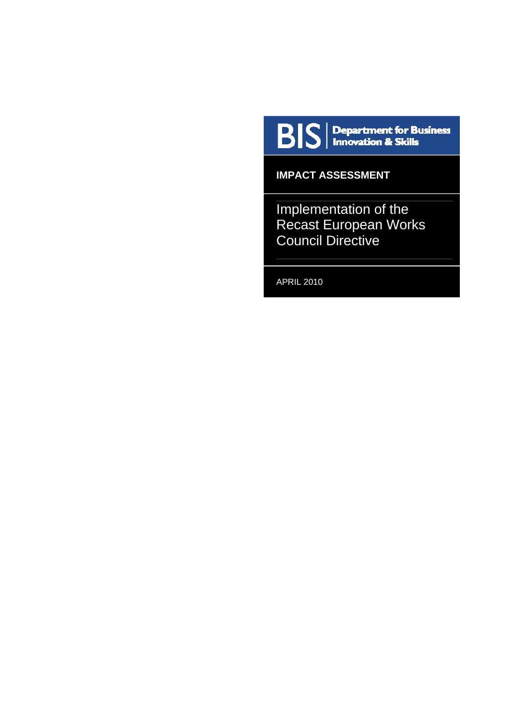

**IMPACT ASSESSMENT** 

Implementation of the Recast European Works Council Directive

APRIL 2010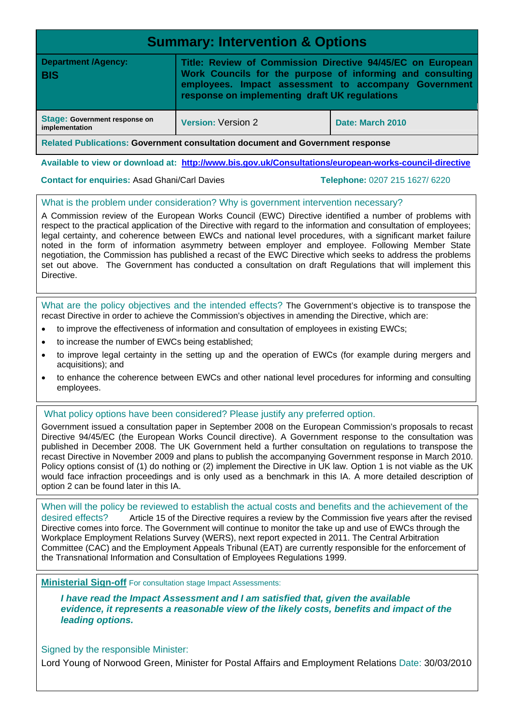| <b>Summary: Intervention &amp; Options</b>                                     |                                                                                                                                                                                                                                  |  |  |  |  |
|--------------------------------------------------------------------------------|----------------------------------------------------------------------------------------------------------------------------------------------------------------------------------------------------------------------------------|--|--|--|--|
| <b>Department /Agency:</b><br><b>BIS</b>                                       | Title: Review of Commission Directive 94/45/EC on European<br>Work Councils for the purpose of informing and consulting<br>employees. Impact assessment to accompany Government<br>response on implementing draft UK regulations |  |  |  |  |
| Stage: Government response on<br>implementation                                | <b>Version: Version 2</b><br>Date: March 2010                                                                                                                                                                                    |  |  |  |  |
| Related Publications: Government consultation document and Government response |                                                                                                                                                                                                                                  |  |  |  |  |

**Available to view or download at: <http://www.bis.gov.uk/Consultations/european-works-council-directive>**

#### **Contact for enquiries:** Asad Ghani/Carl Davies **Telephone:** 0207 215 1627/ 6220

#### What is the problem under consideration? Why is government intervention necessary?

A Commission review of the European Works Council (EWC) Directive identified a number of problems with respect to the practical application of the Directive with regard to the information and consultation of employees; legal certainty, and coherence between EWCs and national level procedures, with a significant market failure noted in the form of information asymmetry between employer and employee. Following Member State negotiation, the Commission has published a recast of the EWC Directive which seeks to address the problems set out above. The Government has conducted a consultation on draft Regulations that will implement this Directive.

What are the policy objectives and the intended effects? The Government's objective is to transpose the recast Directive in order to achieve the Commission's objectives in amending the Directive, which are:

- to improve the effectiveness of information and consultation of employees in existing EWCs;
- to increase the number of EWCs being established;
- to improve legal certainty in the setting up and the operation of EWCs (for example during mergers and acquisitions); and
- to enhance the coherence between EWCs and other national level procedures for informing and consulting employees.

#### What policy options have been considered? Please justify any preferred option.

Government issued a consultation paper in September 2008 on the European Commission's proposals to recast Directive 94/45/EC (the European Works Council directive). A Government response to the consultation was published in December 2008. The UK Government held a further consultation on regulations to transpose the recast Directive in November 2009 and plans to publish the accompanying Government response in March 2010. Policy options consist of (1) do nothing or (2) implement the Directive in UK law. Option 1 is not viable as the UK would face infraction proceedings and is only used as a benchmark in this IA. A more detailed description of option 2 can be found later in this IA.

When will the policy be reviewed to establish the actual costs and benefits and the achievement of the desired effects? Article 15 of the Directive requires a review by the Commission five years after the revised Directive comes into force. The Government will continue to monitor the take up and use of EWCs through the Workplace Employment Relations Survey (WERS), next report expected in 2011. The Central Arbitration Committee (CAC) and the Employment Appeals Tribunal (EAT) are currently responsible for the enforcement of the Transnational Information and Consultation of Employees Regulations 1999.

**Ministerial Sign-off** For consultation stage Impact Assessments:

*I have read the Impact Assessment and I am satisfied that, given the available evidence, it represents a reasonable view of the likely costs, benefits and impact of the leading options.* 

Signed by the responsible Minister:

Lord Young of Norwood Green, Minister for Postal Affairs and Employment Relations Date: 30/03/2010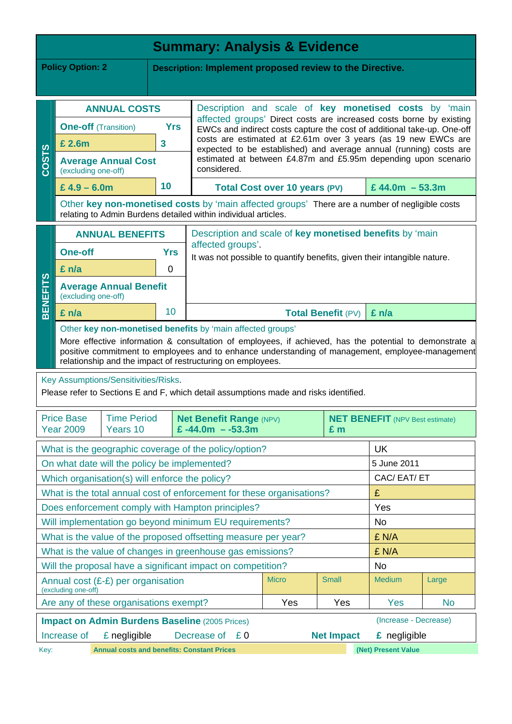| <b>Summary: Analysis &amp; Evidence</b>                                                                                                                                                                                                                                   |                             |                                                |            |                                                                                                                                                                                                                       |                                                                                                                                                |                           |                     |           |
|---------------------------------------------------------------------------------------------------------------------------------------------------------------------------------------------------------------------------------------------------------------------------|-----------------------------|------------------------------------------------|------------|-----------------------------------------------------------------------------------------------------------------------------------------------------------------------------------------------------------------------|------------------------------------------------------------------------------------------------------------------------------------------------|---------------------------|---------------------|-----------|
| <b>Policy Option: 2</b><br>Description: Implement proposed review to the Directive.                                                                                                                                                                                       |                             |                                                |            |                                                                                                                                                                                                                       |                                                                                                                                                |                           |                     |           |
|                                                                                                                                                                                                                                                                           |                             |                                                |            |                                                                                                                                                                                                                       |                                                                                                                                                |                           |                     |           |
|                                                                                                                                                                                                                                                                           |                             | <b>ANNUAL COSTS</b>                            |            | Description and scale of key monetised costs by 'main                                                                                                                                                                 |                                                                                                                                                |                           |                     |           |
|                                                                                                                                                                                                                                                                           | <b>One-off</b> (Transition) |                                                | <b>Yrs</b> |                                                                                                                                                                                                                       | affected groups' Direct costs are increased costs borne by existing<br>EWCs and indirect costs capture the cost of additional take-up. One-off |                           |                     |           |
|                                                                                                                                                                                                                                                                           | £ 2.6m                      |                                                | 3          | costs are estimated at £2.61m over 3 years (as 19 new EWCs are<br>expected to be established) and average annual (running) costs are<br>estimated at between £4.87m and £5.95m depending upon scenario<br>considered. |                                                                                                                                                |                           |                     |           |
| <b>COSTS</b>                                                                                                                                                                                                                                                              | (excluding one-off)         | <b>Average Annual Cost</b>                     |            |                                                                                                                                                                                                                       |                                                                                                                                                |                           |                     |           |
|                                                                                                                                                                                                                                                                           | £ $4.9 - 6.0m$              |                                                | 10         |                                                                                                                                                                                                                       | <b>Total Cost over 10 years (PV)</b>                                                                                                           |                           | £44.0m $-53.3m$     |           |
|                                                                                                                                                                                                                                                                           |                             |                                                |            | Other key non-monetised costs by 'main affected groups' There are a number of negligible costs<br>relating to Admin Burdens detailed within individual articles.                                                      |                                                                                                                                                |                           |                     |           |
|                                                                                                                                                                                                                                                                           |                             | <b>ANNUAL BENEFITS</b>                         |            | Description and scale of key monetised benefits by 'main                                                                                                                                                              |                                                                                                                                                |                           |                     |           |
|                                                                                                                                                                                                                                                                           | <b>One-off</b>              |                                                | <b>Yrs</b> | affected groups'.<br>It was not possible to quantify benefits, given their intangible nature.                                                                                                                         |                                                                                                                                                |                           |                     |           |
|                                                                                                                                                                                                                                                                           | £ n/a                       |                                                | 0          |                                                                                                                                                                                                                       |                                                                                                                                                |                           |                     |           |
| <b>BENEFITS</b>                                                                                                                                                                                                                                                           | (excluding one-off)         | <b>Average Annual Benefit</b>                  |            |                                                                                                                                                                                                                       |                                                                                                                                                |                           |                     |           |
|                                                                                                                                                                                                                                                                           | £ n/a                       |                                                | 10         |                                                                                                                                                                                                                       |                                                                                                                                                | <b>Total Benefit (PV)</b> | $£$ n/a             |           |
|                                                                                                                                                                                                                                                                           |                             |                                                |            | Other key non-monetised benefits by 'main affected groups'                                                                                                                                                            |                                                                                                                                                |                           |                     |           |
| More effective information & consultation of employees, if achieved, has the potential to demonstrate a<br>positive commitment to employees and to enhance understanding of management, employee-management<br>relationship and the impact of restructuring on employees. |                             |                                                |            |                                                                                                                                                                                                                       |                                                                                                                                                |                           |                     |           |
|                                                                                                                                                                                                                                                                           |                             | Key Assumptions/Sensitivities/Risks.           |            |                                                                                                                                                                                                                       |                                                                                                                                                |                           |                     |           |
|                                                                                                                                                                                                                                                                           |                             |                                                |            | Please refer to Sections E and F, which detail assumptions made and risks identified.                                                                                                                                 |                                                                                                                                                |                           |                     |           |
| <b>Price Base</b><br><b>Time Period</b><br><b>Net Benefit Range (NPV)</b><br><b>NET BENEFIT</b> (NPV Best estimate)                                                                                                                                                       |                             |                                                |            |                                                                                                                                                                                                                       |                                                                                                                                                |                           |                     |           |
|                                                                                                                                                                                                                                                                           | <b>Year 2009</b>            | Years 10                                       |            | £ $-44.0m - -53.3m$                                                                                                                                                                                                   |                                                                                                                                                | £ m                       |                     |           |
|                                                                                                                                                                                                                                                                           |                             |                                                |            | What is the geographic coverage of the policy/option?                                                                                                                                                                 |                                                                                                                                                |                           | <b>UK</b>           |           |
|                                                                                                                                                                                                                                                                           |                             | On what date will the policy be implemented?   |            |                                                                                                                                                                                                                       |                                                                                                                                                |                           | 5 June 2011         |           |
|                                                                                                                                                                                                                                                                           |                             | Which organisation(s) will enforce the policy? |            |                                                                                                                                                                                                                       |                                                                                                                                                |                           | CAC/EAT/ET          |           |
|                                                                                                                                                                                                                                                                           |                             |                                                |            | What is the total annual cost of enforcement for these organisations?                                                                                                                                                 |                                                                                                                                                |                           | £                   |           |
|                                                                                                                                                                                                                                                                           |                             |                                                |            | Does enforcement comply with Hampton principles?                                                                                                                                                                      |                                                                                                                                                |                           | Yes                 |           |
|                                                                                                                                                                                                                                                                           |                             |                                                |            | Will implementation go beyond minimum EU requirements?                                                                                                                                                                |                                                                                                                                                |                           | No                  |           |
| What is the value of the proposed offsetting measure per year?<br>£ N/A                                                                                                                                                                                                   |                             |                                                |            |                                                                                                                                                                                                                       |                                                                                                                                                |                           |                     |           |
| What is the value of changes in greenhouse gas emissions?<br>£ N/A                                                                                                                                                                                                        |                             |                                                |            |                                                                                                                                                                                                                       |                                                                                                                                                |                           |                     |           |
| Will the proposal have a significant impact on competition?<br><b>No</b>                                                                                                                                                                                                  |                             |                                                |            |                                                                                                                                                                                                                       |                                                                                                                                                |                           |                     |           |
| <b>Micro</b><br><b>Small</b><br><b>Medium</b><br>Large<br>Annual cost (£-£) per organisation<br>(excluding one-off)                                                                                                                                                       |                             |                                                |            |                                                                                                                                                                                                                       |                                                                                                                                                |                           |                     |           |
|                                                                                                                                                                                                                                                                           |                             | Are any of these organisations exempt?         |            |                                                                                                                                                                                                                       | Yes                                                                                                                                            | Yes                       | Yes                 | <b>No</b> |
| (Increase - Decrease)<br><b>Impact on Admin Burdens Baseline (2005 Prices)</b>                                                                                                                                                                                            |                             |                                                |            |                                                                                                                                                                                                                       |                                                                                                                                                |                           |                     |           |
|                                                                                                                                                                                                                                                                           | Increase of                 | £ negligible                                   |            | Decrease of<br>£ 0                                                                                                                                                                                                    |                                                                                                                                                | <b>Net Impact</b>         | £ negligible        |           |
| Key:                                                                                                                                                                                                                                                                      |                             |                                                |            | <b>Annual costs and benefits: Constant Prices</b>                                                                                                                                                                     |                                                                                                                                                |                           | (Net) Present Value |           |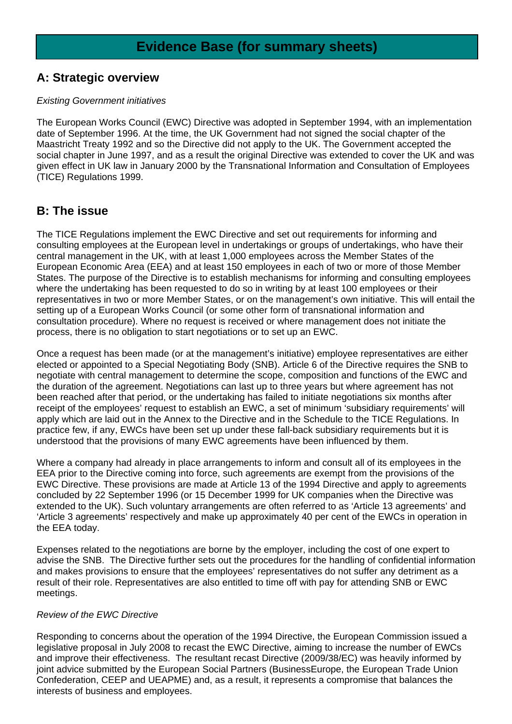# **A: Strategic overview**

#### *Existing Government initiatives*

The European Works Council (EWC) Directive was adopted in September 1994, with an implementation date of September 1996. At the time, the UK Government had not signed the social chapter of the Maastricht Treaty 1992 and so the Directive did not apply to the UK. The Government accepted the social chapter in June 1997, and as a result the original Directive was extended to cover the UK and was given effect in UK law in January 2000 by the Transnational Information and Consultation of Employees (TICE) Regulations 1999.

# **B: The issue**

The TICE Regulations implement the EWC Directive and set out requirements for informing and consulting employees at the European level in undertakings or groups of undertakings, who have their central management in the UK, with at least 1,000 employees across the Member States of the European Economic Area (EEA) and at least 150 employees in each of two or more of those Member States. The purpose of the Directive is to establish mechanisms for informing and consulting employees where the undertaking has been requested to do so in writing by at least 100 employees or their representatives in two or more Member States, or on the management's own initiative. This will entail the setting up of a European Works Council (or some other form of transnational information and consultation procedure). Where no request is received or where management does not initiate the process, there is no obligation to start negotiations or to set up an EWC.

Once a request has been made (or at the management's initiative) employee representatives are either elected or appointed to a Special Negotiating Body (SNB). Article 6 of the Directive requires the SNB to negotiate with central management to determine the scope, composition and functions of the EWC and the duration of the agreement. Negotiations can last up to three years but where agreement has not been reached after that period, or the undertaking has failed to initiate negotiations six months after receipt of the employees' request to establish an EWC, a set of minimum 'subsidiary requirements' will apply which are laid out in the Annex to the Directive and in the Schedule to the TICE Regulations. In practice few, if any, EWCs have been set up under these fall-back subsidiary requirements but it is understood that the provisions of many EWC agreements have been influenced by them.

Where a company had already in place arrangements to inform and consult all of its employees in the EEA prior to the Directive coming into force, such agreements are exempt from the provisions of the EWC Directive. These provisions are made at Article 13 of the 1994 Directive and apply to agreements concluded by 22 September 1996 (or 15 December 1999 for UK companies when the Directive was extended to the UK). Such voluntary arrangements are often referred to as 'Article 13 agreements' and 'Article 3 agreements' respectively and make up approximately 40 per cent of the EWCs in operation in the EEA today.

Expenses related to the negotiations are borne by the employer, including the cost of one expert to advise the SNB. The Directive further sets out the procedures for the handling of confidential information and makes provisions to ensure that the employees' representatives do not suffer any detriment as a result of their role. Representatives are also entitled to time off with pay for attending SNB or EWC meetings.

### *Review of the EWC Directive*

Responding to concerns about the operation of the 1994 Directive, the European Commission issued a legislative proposal in July 2008 to recast the EWC Directive, aiming to increase the number of EWCs and improve their effectiveness. The resultant recast Directive (2009/38/EC) was heavily informed by joint advice submitted by the European Social Partners (BusinessEurope, the European Trade Union Confederation, CEEP and UEAPME) and, as a result, it represents a compromise that balances the interests of business and employees.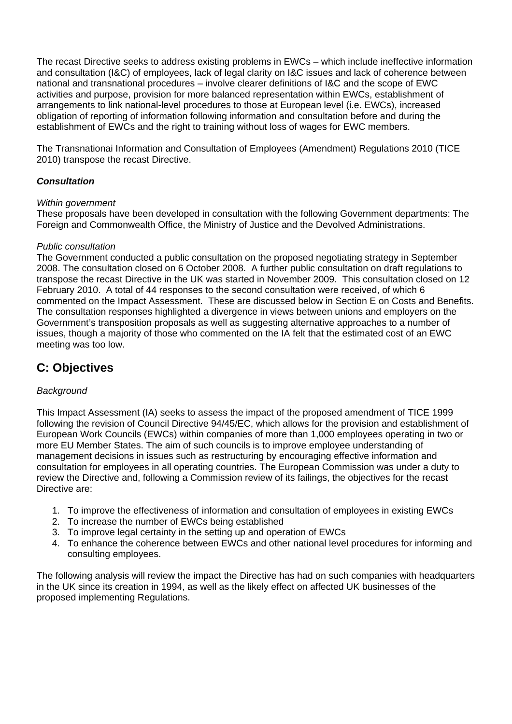The recast Directive seeks to address existing problems in EWCs – which include ineffective information and consultation (I&C) of employees, lack of legal clarity on I&C issues and lack of coherence between national and transnational procedures – involve clearer definitions of I&C and the scope of EWC activities and purpose, provision for more balanced representation within EWCs, establishment of arrangements to link national-level procedures to those at European level (i.e. EWCs), increased obligation of reporting of information following information and consultation before and during the establishment of EWCs and the right to training without loss of wages for EWC members.

The Transnationai Information and Consultation of Employees (Amendment) Regulations 2010 (TICE 2010) transpose the recast Directive.

### *Consultation*

#### *Within government*

These proposals have been developed in consultation with the following Government departments: The Foreign and Commonwealth Office, the Ministry of Justice and the Devolved Administrations.

#### *Public consultation*

The Government conducted a public consultation on the proposed negotiating strategy in September 2008. The consultation closed on 6 October 2008. A further public consultation on draft regulations to transpose the recast Directive in the UK was started in November 2009. This consultation closed on 12 February 2010. A total of 44 responses to the second consultation were received, of which 6 commented on the Impact Assessment. These are discussed below in Section E on Costs and Benefits. The consultation responses highlighted a divergence in views between unions and employers on the Government's transposition proposals as well as suggesting alternative approaches to a number of issues, though a majority of those who commented on the IA felt that the estimated cost of an EWC meeting was too low.

# **C: Objectives**

### *Background*

This Impact Assessment (IA) seeks to assess the impact of the proposed amendment of TICE 1999 following the revision of Council Directive 94/45/EC, which allows for the provision and establishment of European Work Councils (EWCs) within companies of more than 1,000 employees operating in two or more EU Member States. The aim of such councils is to improve employee understanding of management decisions in issues such as restructuring by encouraging effective information and consultation for employees in all operating countries. The European Commission was under a duty to review the Directive and, following a Commission review of its failings, the objectives for the recast Directive are:

- 1. To improve the effectiveness of information and consultation of employees in existing EWCs
- 2. To increase the number of EWCs being established
- 3. To improve legal certainty in the setting up and operation of EWCs
- 4. To enhance the coherence between EWCs and other national level procedures for informing and consulting employees.

The following analysis will review the impact the Directive has had on such companies with headquarters in the UK since its creation in 1994, as well as the likely effect on affected UK businesses of the proposed implementing Regulations.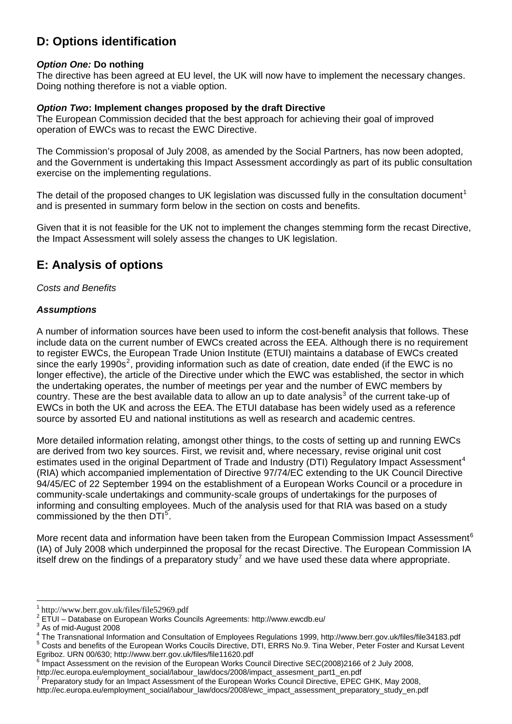# **D: Options identification**

#### *Option One:* **Do nothing**

The directive has been agreed at EU level, the UK will now have to implement the necessary changes. Doing nothing therefore is not a viable option.

#### *Option Two***: Implement changes proposed by the draft Directive**

The European Commission decided that the best approach for achieving their goal of improved operation of EWCs was to recast the EWC Directive.

The Commission's proposal of July 2008, as amended by the Social Partners, has now been adopted, and the Government is undertaking this Impact Assessment accordingly as part of its public consultation exercise on the implementing regulations.

The detail of the proposed changes to UK legislation was discussed fully in the consultation document<sup>[1](#page-5-0)</sup> and is presented in summary form below in the section on costs and benefits.

Given that it is not feasible for the UK not to implement the changes stemming form the recast Directive, the Impact Assessment will solely assess the changes to UK legislation.

# **E: Analysis of options**

#### *Costs and Benefits*

#### *Assumptions*

A number of information sources have been used to inform the cost-benefit analysis that follows. These include data on the current number of EWCs created across the EEA. Although there is no requirement to register EWCs, the European Trade Union Institute (ETUI) maintains a database of EWCs created since the early 1990s<sup>[2](#page-5-1)</sup>, providing information such as date of creation, date ended (if the EWC is no longer effective), the article of the Directive under which the EWC was established, the sector in which the undertaking operates, the number of meetings per year and the number of EWC members by country. These are the best available data to allow an up to date analysis<sup>[3](#page-5-2)</sup> of the current take-up of EWCs in both the UK and across the EEA. The ETUI database has been widely used as a reference source by assorted EU and national institutions as well as research and academic centres.

More detailed information relating, amongst other things, to the costs of setting up and running EWCs are derived from two key sources. First, we revisit and, where necessary, revise original unit cost estimates used in the original Department of Trade and Industry (DTI) Regulatory Impact Assessment<sup>[4](#page-5-3)</sup> (RIA) which accompanied implementation of Directive 97/74/EC extending to the UK Council Directive 94/45/EC of 22 September 1994 on the establishment of a European Works Council or a procedure in community-scale undertakings and community-scale groups of undertakings for the purposes of informing and consulting employees. Much of the analysis used for that RIA was based on a study commissioned by the then DTI<sup>[5](#page-5-4)</sup>.

More recent data and information have been taken from the European Commission Impact Assessment<sup>[6](#page-5-5)</sup> (IA) of July 2008 which underpinned the proposal for the recast Directive. The European Commission IA itself drew on the findings of a preparatory study<sup>[7](#page-5-6)</sup> and we have used these data where appropriate.

l

<span id="page-5-0"></span><sup>1</sup> <http://www.berr.gov.uk/files/file52969.pdf>

<span id="page-5-1"></span><sup>&</sup>lt;sup>2</sup> ETUI - Database on European Works Councils Agreements: http://www.ewcdb.eu/

 $3$  As of mid-August 2008

<span id="page-5-3"></span><span id="page-5-2"></span><sup>&</sup>lt;sup>4</sup> The Transnational Information and Consultation of Employees Regulations 1999, http://www.berr.gov.uk/files/file34183.pdf<br><sup>5</sup> Cente and benefits of the European Warke Cousile Directive, DTL EDDS Ne. 9. Tips Weber, Dater <sup>5</sup> Costs and benefits of the European Works Coucils Directive, DTI, ERRS No.9. Tina Weber, Peter Foster and Kursat Levent

<span id="page-5-4"></span>Egriboz. URN 00/630; http://www.berr.gov.uk/files/file11620.pdf

Impact Assessment on the revision of the European Works Council Directive SEC(2008)2166 of 2 July 2008,

<span id="page-5-5"></span>http://ec.europa.eu/employment\_social/labour\_law/docs/2008/impact\_assesment\_part1\_en.pdf 7

<span id="page-5-6"></span>Preparatory study for an Impact Assessment of the European Works Council Directive, EPEC GHK, May 2008,

http://ec.europa.eu/employment\_social/labour\_law/docs/2008/ewc\_impact\_assessment\_preparatory\_study\_en.pdf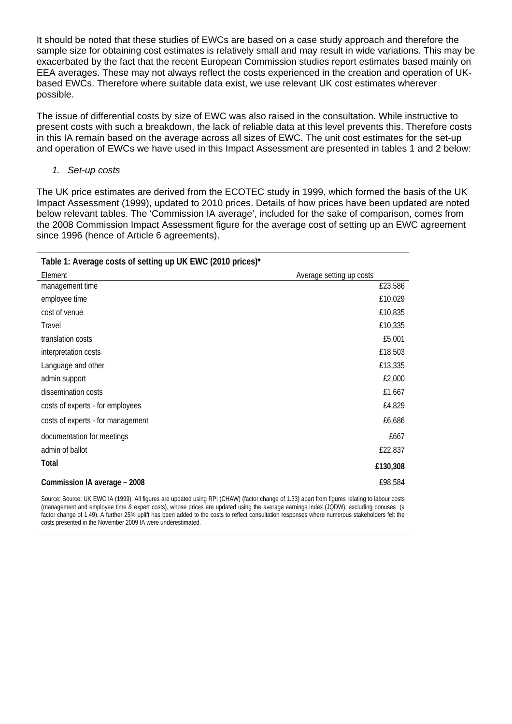It should be noted that these studies of EWCs are based on a case study approach and therefore the sample size for obtaining cost estimates is relatively small and may result in wide variations. This may be exacerbated by the fact that the recent European Commission studies report estimates based mainly on EEA averages. These may not always reflect the costs experienced in the creation and operation of UKbased EWCs. Therefore where suitable data exist, we use relevant UK cost estimates wherever possible.

The issue of differential costs by size of EWC was also raised in the consultation. While instructive to present costs with such a breakdown, the lack of reliable data at this level prevents this. Therefore costs in this IA remain based on the average across all sizes of EWC. The unit cost estimates for the set-up and operation of EWCs we have used in this Impact Assessment are presented in tables 1 and 2 below:

*1. Set-up costs* 

The UK price estimates are derived from the ECOTEC study in 1999, which formed the basis of the UK Impact Assessment (1999), updated to 2010 prices. Details of how prices have been updated are noted below relevant tables. The 'Commission IA average', included for the sake of comparison, comes from the 2008 Commission Impact Assessment figure for the average cost of setting up an EWC agreement since 1996 (hence of Article 6 agreements).

| Table 1: Average costs of setting up UK EWC (2010 prices)* |                          |
|------------------------------------------------------------|--------------------------|
| Element                                                    | Average setting up costs |
| management time                                            | £23,586                  |
| employee time                                              | £10,029                  |
| cost of venue                                              | £10,835                  |
| <b>Travel</b>                                              | £10,335                  |
| translation costs                                          | £5,001                   |
| interpretation costs                                       | £18,503                  |
| Language and other                                         | £13,335                  |
| admin support                                              | £2,000                   |
| dissemination costs                                        | £1,667                   |
| costs of experts - for employees                           | £4,829                   |
| costs of experts - for management                          | £6,686                   |
| documentation for meetings                                 | £667                     |
| admin of ballot                                            | £22,837                  |
| Total                                                      | £130,308                 |
| Commission IA average - 2008                               | £98,584                  |

Source: Source: UK EWC IA (1999). All figures are updated using RPI (CHAW) (factor change of 1.33) apart from figures relating to labour costs (management and employee time & expert costs), whose prices are updated using the average earnings index (JQDW), excluding bonuses (a factor change of 1.49). A further 25% uplift has been added to the costs to reflect consultation responses where numerous stakeholders felt the costs presented in the November 2009 IA were underestimated.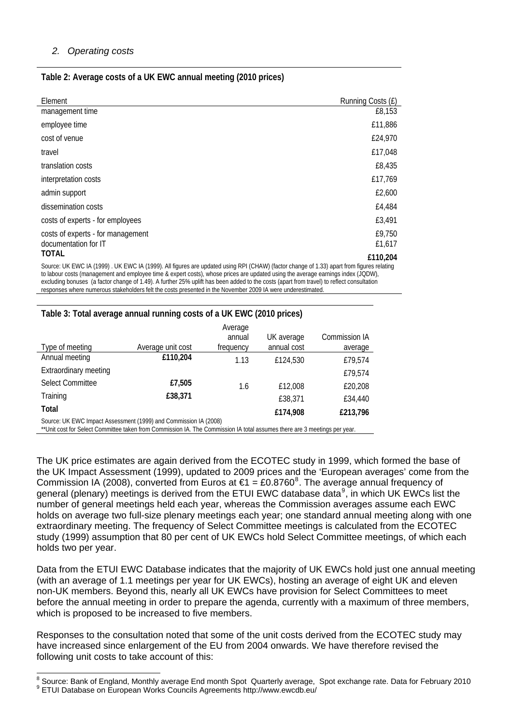### *2. Operating costs*

#### **Table 2: Average costs of a UK EWC annual meeting (2010 prices)**

| Element                                                                                                                                                                                                                                                                       | Running Costs (£) |
|-------------------------------------------------------------------------------------------------------------------------------------------------------------------------------------------------------------------------------------------------------------------------------|-------------------|
| management time                                                                                                                                                                                                                                                               | £8,153            |
| employee time                                                                                                                                                                                                                                                                 | £11,886           |
| cost of venue                                                                                                                                                                                                                                                                 | £24,970           |
| travel                                                                                                                                                                                                                                                                        | £17,048           |
| translation costs                                                                                                                                                                                                                                                             | £8,435            |
| interpretation costs                                                                                                                                                                                                                                                          | £17,769           |
| admin support                                                                                                                                                                                                                                                                 | £2,600            |
| dissemination costs                                                                                                                                                                                                                                                           | £4,484            |
| costs of experts - for employees                                                                                                                                                                                                                                              | £3,491            |
| costs of experts - for management<br>documentation for IT                                                                                                                                                                                                                     | £9,750<br>£1,617  |
| <b>TOTAL</b>                                                                                                                                                                                                                                                                  | £110,204          |
| Source: UK EWC IA (1999). UK EWC IA (1999). All figures are updated using RPI (CHAW) (factor change of 1.33) apart from figures relating<br>(۱۸۱۸) برداری است به موجود موجود میان استامر استفاده و موجود استامر استان میدهد و موجود موجود استان استامر موجود موجود استامر است |                   |

to labour costs (management and employee time & expert costs), whose prices are updated using the average earnings index (JQDW), excluding bonuses (a factor change of 1.49). A further 25% uplift has been added to the costs (apart from travel) to reflect consultation responses where numerous stakeholders felt the costs presented in the November 2009 IA were underestimated.

#### **Table 3: Total average annual running costs of a UK EWC (2010 prices)**

|                                                                  |                   | Average<br>annual | UK average  | <b>Commission IA</b> |  |
|------------------------------------------------------------------|-------------------|-------------------|-------------|----------------------|--|
| Type of meeting                                                  | Average unit cost | frequency         | annual cost | average              |  |
| Annual meeting                                                   | £110,204          | 1.13              | £124,530    | £79,574              |  |
| <b>Extraordinary meeting</b>                                     |                   |                   |             | £79,574              |  |
| <b>Select Committee</b>                                          | £7,505            | 1.6               | £12,008     | £20,208              |  |
| Training                                                         | £38,371           |                   | £38,371     | £34,440              |  |
| Total                                                            |                   |                   | £174,908    | £213,796             |  |
| Source: UK EWC Impact Assessment (1999) and Commission IA (2008) |                   |                   |             |                      |  |

\*\*Unit cost for Select Committee taken from Commission IA. The Commission IA total assumes there are 3 meetings per year.

The UK price estimates are again derived from the ECOTEC study in 1999, which formed the base of the UK Impact Assessment (1999), updated to 2009 prices and the 'European averages' come from the Commission IA (200[8](#page-7-0)), converted from Euros at  $\epsilon$ 1 = £0.8760<sup>8</sup>. The average annual frequency of general (plenary) meetings is derived from the ETUI EWC database data $^9$  $^9$ , in which UK EWCs list the number of general meetings held each year, whereas the Commission averages assume each EWC holds on average two full-size plenary meetings each year; one standard annual meeting along with one extraordinary meeting. The frequency of Select Committee meetings is calculated from the ECOTEC study (1999) assumption that 80 per cent of UK EWCs hold Select Committee meetings, of which each holds two per year.

Data from the ETUI EWC Database indicates that the majority of UK EWCs hold just one annual meeting (with an average of 1.1 meetings per year for UK EWCs), hosting an average of eight UK and eleven non-UK members. Beyond this, nearly all UK EWCs have provision for Select Committees to meet before the annual meeting in order to prepare the agenda, currently with a maximum of three members, which is proposed to be increased to five members.

Responses to the consultation noted that some of the unit costs derived from the ECOTEC study may have increased since enlargement of the EU from 2004 onwards. We have therefore revised the following unit costs to take account of this:

<sup>8&</sup>lt;br>8 Source: Bank of England, Monthly average End month Spot Quarterly average, Spot exchange rate. Data for February 2010

<span id="page-7-1"></span><span id="page-7-0"></span>ETUI Database on European Works Councils Agreements http://www.ewcdb.eu/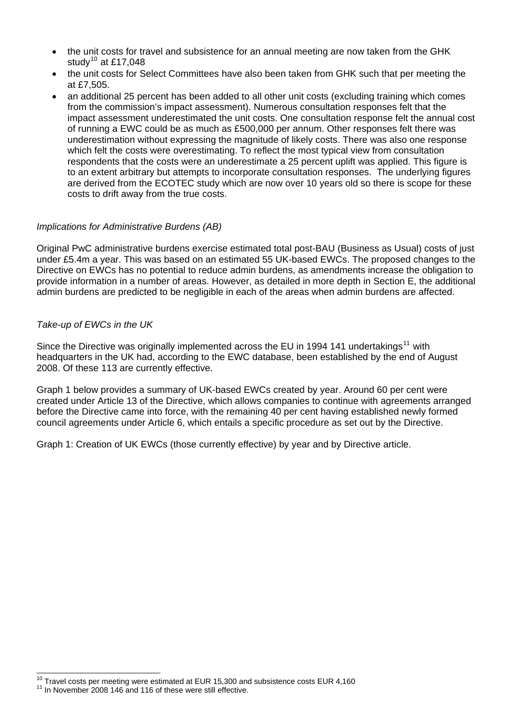- the unit costs for travel and subsistence for an annual meeting are now taken from the GHK study<sup>[10](#page-8-0)</sup> at £17,048
- the unit costs for Select Committees have also been taken from GHK such that per meeting the at £7,505.
- an additional 25 percent has been added to all other unit costs (excluding training which comes from the commission's impact assessment). Numerous consultation responses felt that the impact assessment underestimated the unit costs. One consultation response felt the annual cost of running a EWC could be as much as £500,000 per annum. Other responses felt there was underestimation without expressing the magnitude of likely costs. There was also one response which felt the costs were overestimating. To reflect the most typical view from consultation respondents that the costs were an underestimate a 25 percent uplift was applied. This figure is to an extent arbitrary but attempts to incorporate consultation responses. The underlying figures are derived from the ECOTEC study which are now over 10 years old so there is scope for these costs to drift away from the true costs.

#### *Implications for Administrative Burdens (AB)*

Original PwC administrative burdens exercise estimated total post-BAU (Business as Usual) costs of just under £5.4m a year. This was based on an estimated 55 UK-based EWCs. The proposed changes to the Directive on EWCs has no potential to reduce admin burdens, as amendments increase the obligation to provide information in a number of areas. However, as detailed in more depth in Section E, the additional admin burdens are predicted to be negligible in each of the areas when admin burdens are affected.

#### *Take-up of EWCs in the UK*

Since the Directive was originally implemented across the EU in 1994 141 undertakings<sup>[11](#page-8-1)</sup> with headquarters in the UK had, according to the EWC database, been established by the end of August 2008. Of these 113 are currently effective.

Graph 1 below provides a summary of UK-based EWCs created by year. Around 60 per cent were created under Article 13 of the Directive, which allows companies to continue with agreements arranged before the Directive came into force, with the remaining 40 per cent having established newly formed council agreements under Article 6, which entails a specific procedure as set out by the Directive.

Graph 1: Creation of UK EWCs (those currently effective) by year and by Directive article.

l

<span id="page-8-0"></span> $^{10}$  Travel costs per meeting were estimated at EUR 15,300 and subsistence costs EUR 4,160  $^{11}$  In November 2008 146 and 116 of these were still effective.

<span id="page-8-1"></span>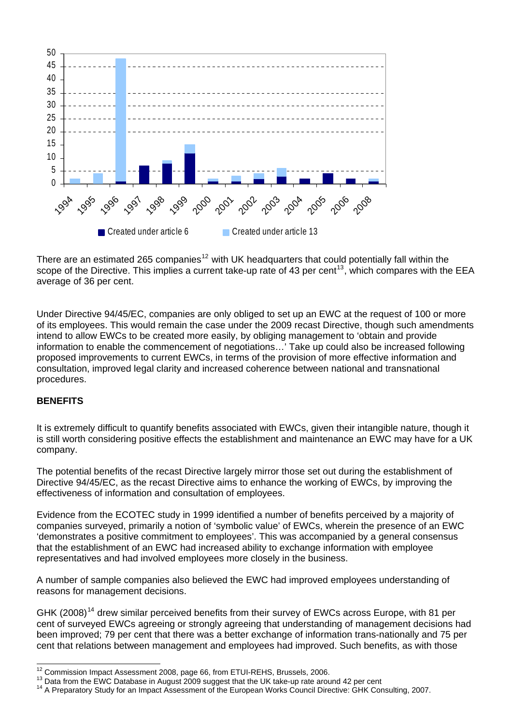

There are an estimated 265 companies<sup>[12](#page-9-0)</sup> with UK headquarters that could potentially fall within the scope of the Directive. This implies a current take-up rate of 43 per cent<sup>[13](#page-9-1)</sup>, which compares with the EEA average of 36 per cent.

Under Directive 94/45/EC, companies are only obliged to set up an EWC at the request of 100 or more of its employees. This would remain the case under the 2009 recast Directive, though such amendments intend to allow EWCs to be created more easily, by obliging management to 'obtain and provide information to enable the commencement of negotiations…' Take up could also be increased following proposed improvements to current EWCs, in terms of the provision of more effective information and consultation, improved legal clarity and increased coherence between national and transnational procedures.

### **BENEFITS**

It is extremely difficult to quantify benefits associated with EWCs, given their intangible nature, though it is still worth considering positive effects the establishment and maintenance an EWC may have for a UK company.

The potential benefits of the recast Directive largely mirror those set out during the establishment of Directive 94/45/EC, as the recast Directive aims to enhance the working of EWCs, by improving the effectiveness of information and consultation of employees.

Evidence from the ECOTEC study in 1999 identified a number of benefits perceived by a majority of companies surveyed, primarily a notion of 'symbolic value' of EWCs, wherein the presence of an EWC 'demonstrates a positive commitment to employees'. This was accompanied by a general consensus that the establishment of an EWC had increased ability to exchange information with employee representatives and had involved employees more closely in the business.

A number of sample companies also believed the EWC had improved employees understanding of reasons for management decisions.

GHK (2008)<sup>[14](#page-9-2)</sup> drew similar perceived benefits from their survey of EWCs across Europe, with 81 per cent of surveyed EWCs agreeing or strongly agreeing that understanding of management decisions had been improved; 79 per cent that there was a better exchange of information trans-nationally and 75 per cent that relations between management and employees had improved. Such benefits, as with those

<span id="page-9-0"></span><sup>&</sup>lt;sup>12</sup> Commission Impact Assessment 2008, page 66, from ETUI-REHS, Brussels, 2006.

<span id="page-9-2"></span><span id="page-9-1"></span><sup>&</sup>lt;sup>13</sup> Data from the EWC Database in August 2009 suggest that the UK take-up rate around 42 per cent<br><sup>14</sup> A Preparatory Study for an Impact Assessment of the European Works Council Directive: GHK Consulting, 2007.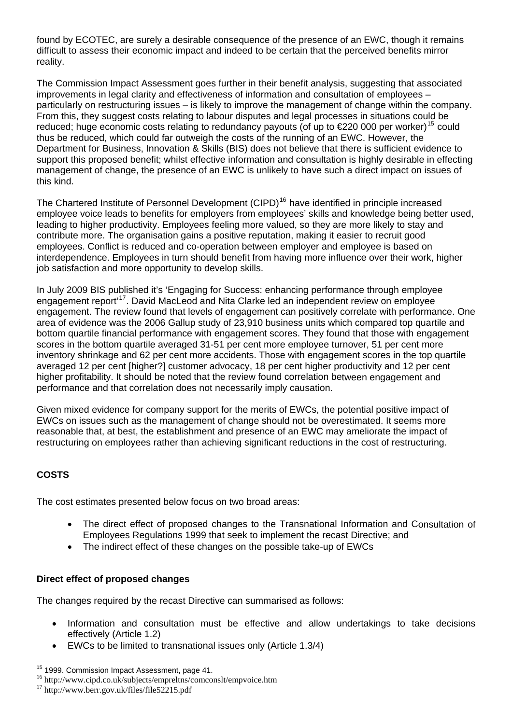reality. found by ECOTEC, are surely a desirable consequence of the presence of an EWC, though it remains difficult to assess their economic impact and indeed to be certain that the perceived benefits mirror

The Commission Impact Assessment goes further in their benefit analysis, suggesting that associated particularly on restructuring issues – is likely to improve the management of change within the company. reduced; huge economic costs relating to redundancy payouts (of up to  $E$ 220 000 per worker)<sup>[15](#page-10-0)</sup> could [support this proposed benefit; whilst effective information and consultation is highly desirable in effectin](#page-10-0)g [manageme](#page-10-0)nt of change, the presence of an EWC is unlikely to have such a direct impact on issues of this kind. improvements in legal clarity and effectiveness of information and consultation of employees – From this, they suggest costs relating to labour disputes and legal processes in situations could be [thus be reduced, which could far outweigh the costs of the running of an EWC. However, the](#page-10-0)  [Department for Business, Innovation & Skills \(BIS\) does not believe that there is sufficient evidence to](#page-10-0) 

employee voice leads to benefits for employers from employees' skills and knowledge being better used, leading to higher productivity. Employees feeling more valued, so they are more likely to stay and interdependence. Employees in turn should benefit from having more influence over their work, higher job satisfaction and more opportunity to develop skills. The Chartered Institute of Personnel Development (CIPD)<sup>[16](#page-10-1)</sup> have identified in principle increased contribute more. The organisation gains a positive reputation, making it easier to recruit good employees. Conflict is reduced and co-operation between employer and employee is based on

engagement. The review found that levels of engagement can positively correlate with performance. One bottom quartile financial performance with engagement scores. They found that those with engagement inventory shrinkage and 62 per cent more accidents. Those with engagement scores in the top quartile averaged 12 per cent [higher?] customer advocacy, 18 per cent higher productivity and 12 per cent higher profitability. It should be noted that the review found correlation between engagement and performance and that correlation does not necessarily imply causation. In July 2009 BIS published it's 'Engaging for Success: enhancing performance through employee engagement report<sup>[17](#page-10-2)</sup>. David MacLeod and Nita Clarke led an independent review on employee area of evidence was the 2006 Gallup study of 23,910 business units which compared top quartile and scores in the bottom quartile averaged 31-51 per cent more employee turnover, 51 per cent more

restructuring on employees rather than achieving significant reductions in the cost of restructuring. Given mixed evidence for company support for the merits of EWCs, the potential positive impact of EWCs on issues such as the management of change should not be overestimated. It seems more reasonable that, at best, the establishment and presence of an EWC may ameliorate the impact of

### **COSTS**

The cost estimates presented below focus on two broad areas:

- The direct effect of proposed changes to the Transnational Information and Consultation of Employees Regulations 1999 that seek to implement the recast Directive; and
- The indirect effect of these changes on the possible take-up of EWCs

### Direct effect of proposed changes

The changes required by the recast Directive can summarised as follows:

- Information and consultation must be effective and allow undertakings to take decisions effectively (Article 1.2)
- EWCs to be limited to transnational issues only (Article 1.3/4)

<span id="page-10-0"></span><sup>&</sup>lt;sup>15</sup> 1999. Commission Impact Assessment, page 41.

<span id="page-10-1"></span><sup>&</sup>lt;sup>16</sup> http://www.cipd.co.uk/subjects/empreltns/comconslt/empvoice.htm  $^{17}$  http://www.berr.gov.uk/files/file52215.pdf

<span id="page-10-2"></span>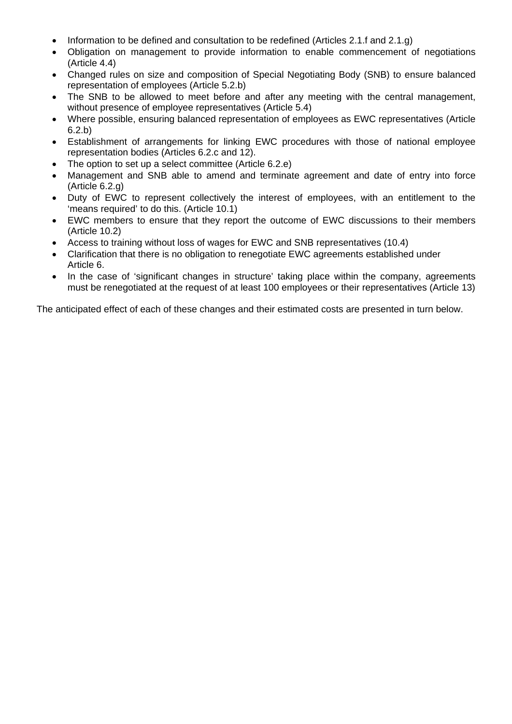- Information to be defined and consultation to be redefined (Articles 2.1.f and 2.1.g)
- Obligation on management to provide information to enable commencement of negotiations (Article 4.4)
- Changed rules on size and composition of Special Negotiating Body (SNB) to ensure balanced representation of employees (Article 5.2.b)
- The SNB to be allowed to meet before and after any meeting with the central management, without presence of employee representatives (Article 5.4)
- Where possible, ensuring balanced representation of employees as EWC representatives (Article 6.2.b)
- Establishment of arrangements for linking EWC procedures with those of national employee representation bodies (Articles 6.2.c and 12).
- The option to set up a select committee (Article 6.2.e)
- Management and SNB able to amend and terminate agreement and date of entry into force (Article 6.2.g)
- Duty of EWC to represent collectively the interest of employees, with an entitlement to the 'means required' to do this. (Article 10.1)
- EWC members to ensure that they report the outcome of EWC discussions to their members (Article 10.2)
- Access to training without loss of wages for EWC and SNB representatives (10.4)
- Clarification that there is no obligation to renegotiate EWC agreements established under Article 6.
- must be renegotiated at the request of at least 100 employees or their representatives (Article 13) • In the case of 'significant changes in structure' taking place within the company, agreements

The anticipated effect of each of these changes and their estimated costs are presented in turn below.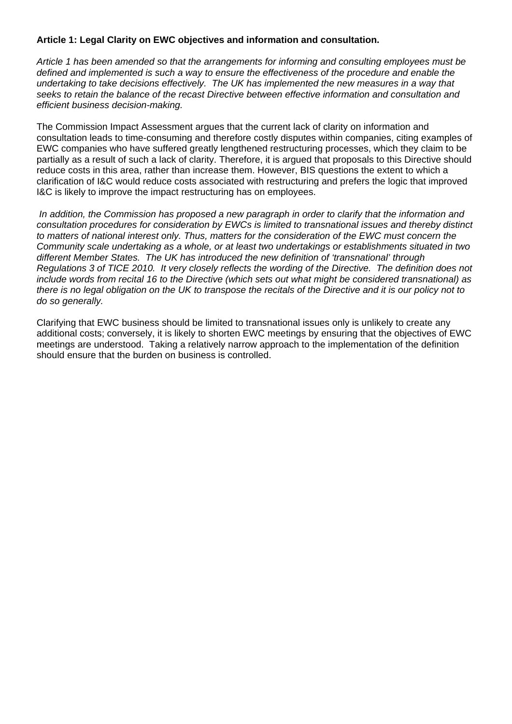#### **Article 1: Legal Clarity on EWC objectives and information and consultation.**

*Article 1 has been amended so that the arrangements for informing and consulting employees must be defined and implemented is such a way to ensure the effectiveness of the procedure and enable the undertaking to take decisions effectively. The UK has implemented the new measures in a way that seeks to retain the balance of the recast Directive between effective information and consultation and efficient business decision-making.* 

The Commission Impact Assessment argues that the current lack of clarity on information and consultation leads to time-consuming and therefore costly disputes within companies, citing examples of EWC companies who have suffered greatly lengthened restructuring processes, which they claim to be partially as a result of such a lack of clarity. Therefore, it is argued that proposals to this Directive should reduce costs in this area, rather than increase them. However, BIS questions the extent to which a clarification of I&C would reduce costs associated with restructuring and prefers the logic that improved I&C is likely to improve the impact restructuring has on employees.

 *In addition, the Commission has proposed a new paragraph in order to clarify that the information and consultation procedures for consideration by EWCs is limited to transnational issues and thereby distinct to matters of national interest only. Thus, matters for the consideration of the EWC must concern the Community scale undertaking as a whole, or at least two undertakings or establishments situated in two different Member States. The UK has introduced the new definition of 'transnational' through Regulations 3 of TICE 2010. It very closely reflects the wording of the Directive. The definition does not include words from recital 16 to the Directive (which sets out what might be considered transnational) as there is no legal obligation on the UK to transpose the recitals of the Directive and it is our policy not to do so generally.* 

Clarifying that EWC business should be limited to transnational issues only is unlikely to create any additional costs; conversely, it is likely to shorten EWC meetings by ensuring that the objectives of EWC meetings are understood. Taking a relatively narrow approach to the implementation of the definition should ensure that the burden on business is controlled.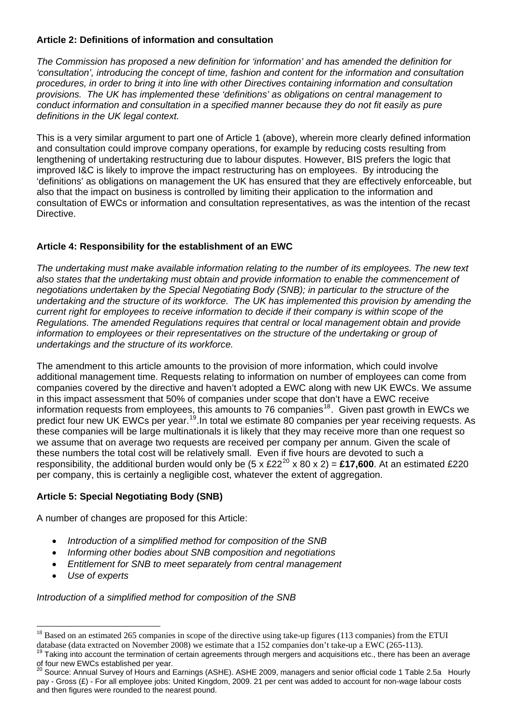### **Article 2: Definitions of information and consultation**

*The Commission has proposed a new definition for 'information' and has amended the definition for 'consultation', introducing the concept of time, fashion and content for the information and consultation procedures, in order to bring it into line with other Directives containing information and consultation provisions. The UK has implemented these 'definitions' as obligations on central management to conduct information and consultation in a specified manner because they do not fit easily as pure definitions in the UK legal context.* 

This is a very similar argument to part one of Article 1 (above), wherein more clearly defined information and consultation could improve company operations, for example by reducing costs resulting from lengthening of undertaking restructuring due to labour disputes. However, BIS prefers the logic that improved I&C is likely to improve the impact restructuring has on employees. By introducing the 'definitions' as obligations on management the UK has ensured that they are effectively enforceable, but also that the impact on business is controlled by limiting their application to the information and consultation of EWCs or information and consultation representatives, as was the intention of the recast Directive.

### **Article 4: Responsibility for the establishment of an EWC**

*The undertaking must make available information relating to the number of its employees. The new text also states that the undertaking must obtain and provide information to enable the commencement of negotiations undertaken by the Special Negotiating Body (SNB); in particular to the structure of the undertaking and the structure of its workforce. The UK has implemented this provision by amending the current right for employees to receive information to decide if their company is within scope of the Regulations. The amended Regulations requires that central or local management obtain and provide*  information to employees or their representatives on the structure of the undertaking or group of *undertakings and the structure of its workforce.* 

The amendment to this article amounts to the provision of more information, which could involve additional management time. Requests relating to information on number of employees can come from companies covered by the directive and haven't adopted a EWC along with new UK EWCs. We assume in this impact assessment that 50% of companies under scope that don't have a EWC receive information requests from employees, this amounts to 76 companies<sup>[18](#page-13-0)</sup>. Given past growth in EWCs we predict four new UK EWCs per year.[19](#page-13-1).In total we estimate 80 companies per year receiving requests. As these companies will be large multinationals it is likely that they may receive more than one request so we assume that on average two requests are received per company per annum. Given the scale of these numbers the total cost will be relatively small. Even if five hours are devoted to such a responsibility, the additional burden would only be  $(5 \times \text{\textsterling}220 \times 80 \times 2) = \text{\textsterling}17,600$  $(5 \times \text{\textsterling}220 \times 80 \times 2) = \text{\textsterling}17,600$  $(5 \times \text{\textsterling}220 \times 80 \times 2) = \text{\textsterling}17,600$ . At an estimated £220 per company, this is certainly a negligible cost, whatever the extent of aggregation.

## **Article 5: Special Negotiating Body (SNB)**

A number of changes are proposed for this Article:

- *Introduction of a simplified method for composition of the SNB*
- *Informing other bodies about SNB composition and negotiations*
- *Entitlement for SNB to meet separately from central management*
- *Use of experts*

l

*Introduction of a simplified method for composition of the SNB* 

<span id="page-13-0"></span> $18$  Based on an estimated 265 companies in scope of the directive using take-up figures (113 companies) from the ETUI

database (data extracted on November 2008) we estimate that a 152 companies don't take-up a EWC (265-113).<br><sup>19</sup> Taking into account the termination of certain agreements through mergers and acquisitions etc., there has bee

<span id="page-13-1"></span>of four new EWCs established per year.

<span id="page-13-2"></span><sup>&</sup>lt;sup>20</sup> Source: Annual Survey of Hours and Earnings (ASHE). ASHE 2009, managers and senior official code 1 Table 2.5a Hourly pay - Gross (£) - For all employee jobs: United Kingdom, 2009. 21 per cent was added to account for non-wage labour costs and then figures were rounded to the nearest pound.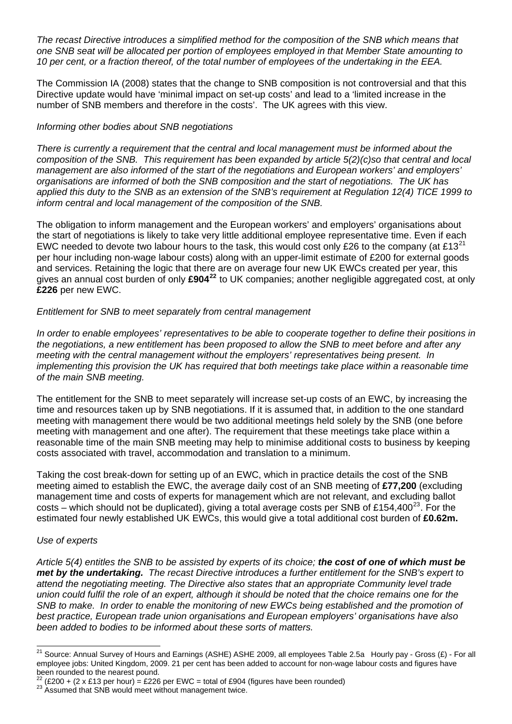*The recast Directive introduces a simplified method for the composition of the SNB which means that one SNB seat will be allocated per portion of employees employed in that Member State amounting to 10 per cent, or a fraction thereof, of the total number of employees of the undertaking in the EEA.* 

The Commission IA (2008) states that the change to SNB composition is not controversial and that this Directive update would have 'minimal impact on set-up costs' and lead to a 'limited increase in the number of SNB members and therefore in the costs'. The UK agrees with this view.

#### *Informing other bodies about SNB negotiations*

*There is currently a requirement that the central and local management must be informed about the composition of the SNB. This requirement has been expanded by article 5(2)(c)so that central and local management are also informed of the start of the negotiations and European workers' and employers' organisations are informed of both the SNB composition and the start of negotiations. The UK has applied this duty to the SNB as an extension of the SNB's requirement at Regulation 12(4) TICE 1999 to inform central and local management of the composition of the SNB.* 

The obligation to inform management and the European workers' and employers' organisations about the start of negotiations is likely to take very little additional employee representative time. Even if each EWC needed to devote two labour hours to the task, this would cost only £26 to the company (at £13<sup>[21](#page-14-0)</sup>) per hour including non-wage labour costs) along with an upper-limit estimate of £200 for external goods and services. Retaining the logic that there are on average four new UK EWCs created per year, this gives an annual cost burden of only **£904[22](#page-14-1)** to UK companies; another negligible aggregated cost, at only **£226** per new EWC.

#### *Entitlement for SNB to meet separately from central management*

*In order to enable employees' representatives to be able to cooperate together to define their positions in the negotiations, a new entitlement has been proposed to allow the SNB to meet before and after any meeting with the central management without the employers' representatives being present. In implementing this provision the UK has required that both meetings take place within a reasonable time of the main SNB meeting.* 

The entitlement for the SNB to meet separately will increase set-up costs of an EWC, by increasing the time and resources taken up by SNB negotiations. If it is assumed that, in addition to the one standard meeting with management there would be two additional meetings held solely by the SNB (one before meeting with management and one after). The requirement that these meetings take place within a reasonable time of the main SNB meeting may help to minimise additional costs to business by keeping costs associated with travel, accommodation and translation to a minimum.

Taking the cost break-down for setting up of an EWC, which in practice details the cost of the SNB meeting aimed to establish the EWC, the average daily cost of an SNB meeting of **£77,200** (excluding management time and costs of experts for management which are not relevant, and excluding ballot costs – which should not be duplicated), giving a total average costs per SNB of £154,400 $^{23}$  $^{23}$  $^{23}$ . For the estimated four newly established UK EWCs, this would give a total additional cost burden of **£0.62m.**

#### *Use of experts*

*Article 5(4) entitles the SNB to be assisted by experts of its choice; the cost of one of which must be met by the undertaking. The recast Directive introduces a further entitlement for the SNB's expert to attend the negotiating meeting. The Directive also states that an appropriate Community level trade union could fulfil the role of an expert, although it should be noted that the choice remains one for the SNB to make. In order to enable the monitoring of new EWCs being established and the promotion of best practice, European trade union organisations and European employers' organisations have also been added to bodies to be informed about these sorts of matters.*

<span id="page-14-0"></span> $\overline{\phantom{a}}$ <sup>21</sup> Source: Annual Survey of Hours and Earnings (ASHE) ASHE 2009, all employees Table 2.5a Hourly pay - Gross  $(E)$  - For all employee jobs: United Kingdom, 2009. 21 per cent has been added to account for non-wage labour costs and figures have been rounded to the nearest pound.

<span id="page-14-1"></span><sup>&</sup>lt;sup>22</sup> (£200 + (2 x £13 per hour) = £226 per EWC = total of £904 (figures have been rounded)<br><sup>23</sup> Assumed that SNB would meet without management twice.

<span id="page-14-2"></span>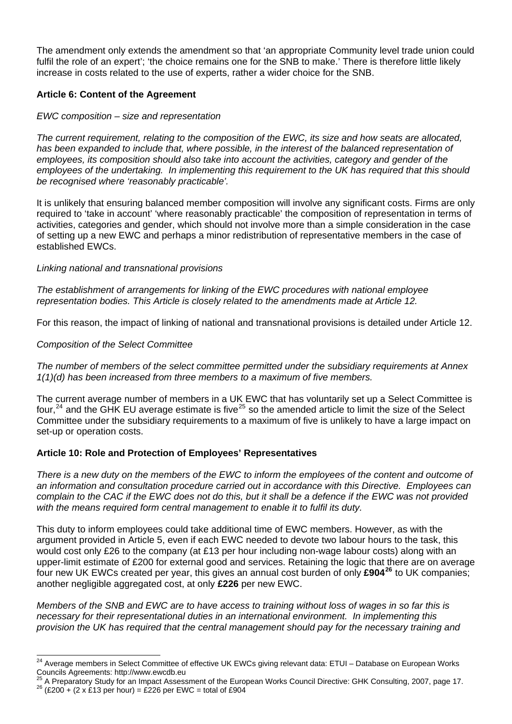The amendment only extends the amendment so that 'an appropriate Community level trade union could fulfil the role of an expert'; 'the choice remains one for the SNB to make.' There is therefore little likely increase in costs related to the use of experts, rather a wider choice for the SNB.

#### **Article 6: Content of the Agreement**

#### *EWC composition – size and representation*

*The current requirement, relating to the composition of the EWC, its size and how seats are allocated, has been expanded to include that, where possible, in the interest of the balanced representation of employees, its composition should also take into account the activities, category and gender of the employees of the undertaking. In implementing this requirement to the UK has required that this should be recognised where 'reasonably practicable'.* 

It is unlikely that ensuring balanced member composition will involve any significant costs. Firms are only required to 'take in account' 'where reasonably practicable' the composition of representation in terms of activities, categories and gender, which should not involve more than a simple consideration in the case of setting up a new EWC and perhaps a minor redistribution of representative members in the case of established EWCs.

#### *Linking national and transnational provisions*

*The establishment of arrangements for linking of the EWC procedures with national employee representation bodies. This Article is closely related to the amendments made at Article 12.* 

For this reason, the impact of linking of national and transnational provisions is detailed under Article 12.

#### *Composition of the Select Committee*

*The number of members of the select committee permitted under the subsidiary requirements at Annex 1(1)(d) has been increased from three members to a maximum of five members.* 

The current average number of members in a UK EWC that has voluntarily set up a Select Committee is four,<sup>[24](#page-15-0)</sup> and the GHK EU average estimate is five<sup>[25](#page-15-1)</sup> so the amended article to limit the size of the Select Committee under the subsidiary requirements to a maximum of five is unlikely to have a large impact on set-up or operation costs.

#### **Article 10: Role and Protection of Employees' Representatives**

*There is a new duty on the members of the EWC to inform the employees of the content and outcome of an information and consultation procedure carried out in accordance with this Directive. Employees can complain to the CAC if the EWC does not do this, but it shall be a defence if the EWC was not provided with the means required form central management to enable it to fulfil its duty.* 

This duty to inform employees could take additional time of EWC members. However, as with the argument provided in Article 5, even if each EWC needed to devote two labour hours to the task, this would cost only £26 to the company (at £13 per hour including non-wage labour costs) along with an upper-limit estimate of £200 for external good and services. Retaining the logic that there are on average four new UK EWCs created per year, this gives an annual cost burden of only **£904[26](#page-15-2)** to UK companies; another negligible aggregated cost, at only **£226** per new EWC.

*Members of the SNB and EWC are to have access to training without loss of wages in so far this is necessary for their representational duties in an international environment. In implementing this provision the UK has required that the central management should pay for the necessary training and* 

<span id="page-15-0"></span>l <sup>24</sup> Average members in Select Committee of effective UK EWCs giving relevant data: ETUI – Database on European Works Councils Agreements: http://www.ewcdb.eu

<span id="page-15-2"></span><span id="page-15-1"></span><sup>&</sup>lt;sup>25</sup> A Preparatory Study for an Impact Assessment of the European Works Council Directive: GHK Consulting, 2007, page 17.<br><sup>26</sup> (£200 + (2 x £13 per hour) = £226 per EWC = total of £904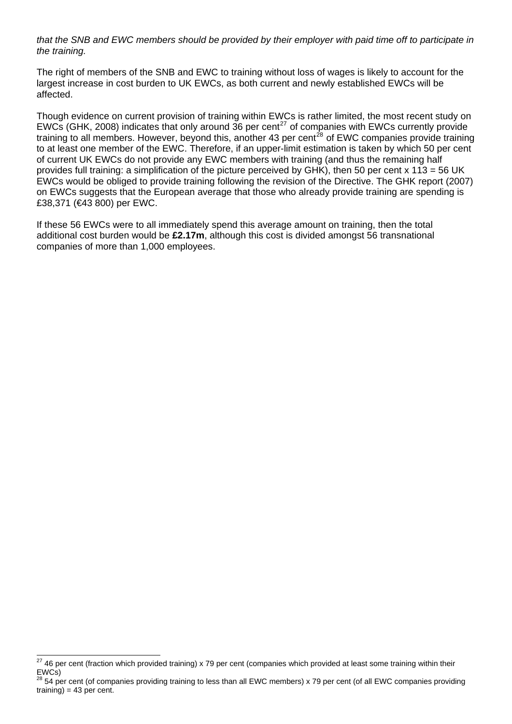*that the SNB and EWC members should be provided by their employer with paid time off to participate in the training.* 

The right of members of the SNB and EWC to training without loss of wages is likely to account for the largest increase in cost burden to UK EWCs, as both current and newly established EWCs will be affected.

Though evidence on current provision of training within EWCs is rather limited, the most recent study on EWCs (GHK, 2008) indicates that only around 36 per cent<sup>[27](#page-16-0)</sup> of companies with EWCs currently provide training to all members. However, beyond this, another 43 per cent<sup>[28](#page-16-1)</sup> of EWC companies provide training to at least one member of the EWC. Therefore, if an upper-limit estimation is taken by which 50 per cent of current UK EWCs do not provide any EWC members with training (and thus the remaining half provides full training: a simplification of the picture perceived by GHK), then 50 per cent x 113 = 56 UK EWCs would be obliged to provide training following the revision of the Directive. The GHK report (2007) on EWCs suggests that the European average that those who already provide training are spending is £38,371 (€43 800) per EWC.

If these 56 EWCs were to all immediately spend this average amount on training, then the total additional cost burden would be **£2.17m**, although this cost is divided amongst 56 transnational companies of more than 1,000 employees.

<span id="page-16-0"></span>l  $^{27}$  46 per cent (fraction which provided training) x 79 per cent (companies which provided at least some training within their EWCs)

<span id="page-16-1"></span><sup>54</sup> per cent (of companies providing training to less than all EWC members) x 79 per cent (of all EWC companies providing  $training) = 43$  per cent.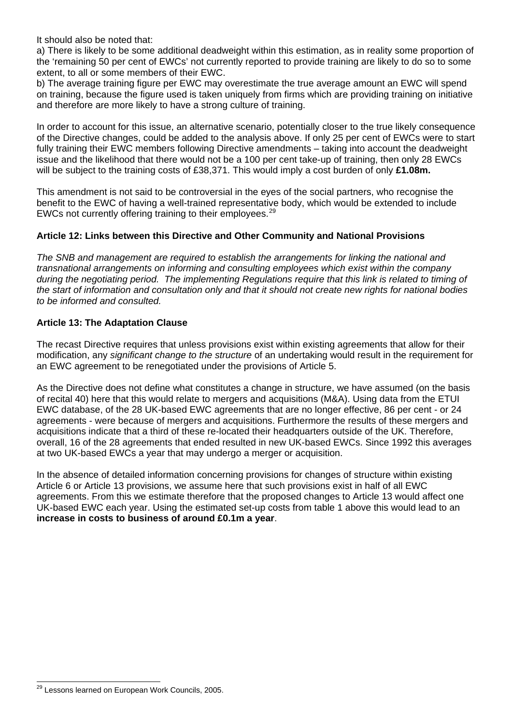It should also be noted that:

a) There is likely to be some additional deadweight within this estimation, as in reality some proportion of the 'remaining 50 per cent of EWCs' not currently reported to provide training are likely to do so to some extent, to all or some members of their EWC.

b) The average training figure per EWC may overestimate the true average amount an EWC will spend on training, because the figure used is taken uniquely from firms which are providing training on initiative and therefore are more likely to have a strong culture of training.

In order to account for this issue, an alternative scenario, potentially closer to the true likely consequence of the Directive changes, could be added to the analysis above. If only 25 per cent of EWCs were to start fully training their EWC members following Directive amendments – taking into account the deadweight issue and the likelihood that there would not be a 100 per cent take-up of training, then only 28 EWCs will be subject to the training costs of £38,371. This would imply a cost burden of only **£1.08m.**

This amendment is not said to be controversial in the eyes of the social partners, who recognise the benefit to the EWC of having a well-trained representative body, which would be extended to include EWCs not currently offering training to their employees.<sup>[29](#page-17-0)</sup>

#### **Article 12: Links between this Directive and Other Community and National Provisions**

*The SNB and management are required to establish the arrangements for linking the national and transnational arrangements on informing and consulting employees which exist within the company during the negotiating period. The implementing Regulations require that this link is related to timing of the start of information and consultation only and that it should not create new rights for national bodies to be informed and consulted.* 

#### **Article 13: The Adaptation Clause**

The recast Directive requires that unless provisions exist within existing agreements that allow for their modification, any *significant change to the structure* of an undertaking would result in the requirement for an EWC agreement to be renegotiated under the provisions of Article 5.

As the Directive does not define what constitutes a change in structure, we have assumed (on the basis of recital 40) here that this would relate to mergers and acquisitions (M&A). Using data from the ETUI EWC database, of the 28 UK-based EWC agreements that are no longer effective, 86 per cent - or 24 agreements - were because of mergers and acquisitions. Furthermore the results of these mergers and acquisitions indicate that a third of these re-located their headquarters outside of the UK. Therefore, overall, 16 of the 28 agreements that ended resulted in new UK-based EWCs. Since 1992 this averages at two UK-based EWCs a year that may undergo a merger or acquisition.

In the absence of detailed information concerning provisions for changes of structure within existing Article 6 or Article 13 provisions, we assume here that such provisions exist in half of all EWC agreements. From this we estimate therefore that the proposed changes to Article 13 would affect one UK-based EWC each year. Using the estimated set-up costs from table 1 above this would lead to an **increase in costs to business of around £0.1m a year**.

<span id="page-17-0"></span>l <sup>29</sup> Lessons learned on European Work Councils, 2005.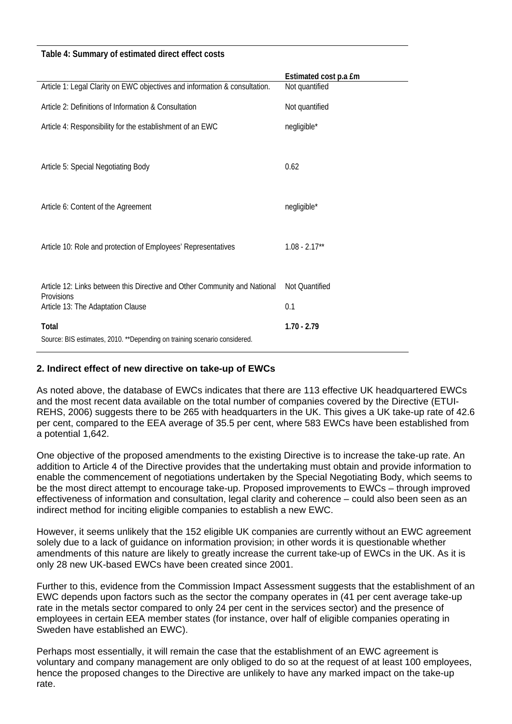#### **Table 4: Summary of estimated direct effect costs**

|                                                                            | Estimated cost p.a £m |
|----------------------------------------------------------------------------|-----------------------|
| Article 1: Legal Clarity on EWC objectives and information & consultation. | Not quantified        |
| Article 2: Definitions of Information & Consultation                       | Not quantified        |
| Article 4: Responsibility for the establishment of an EWC                  | negligible*           |
|                                                                            |                       |
|                                                                            |                       |
| Article 5: Special Negotiating Body                                        | 0.62                  |
|                                                                            |                       |
|                                                                            |                       |
| Article 6: Content of the Agreement                                        | negligible*           |
|                                                                            |                       |
|                                                                            |                       |
| Article 10: Role and protection of Employees' Representatives              | $1.08 - 2.17**$       |
|                                                                            |                       |
|                                                                            |                       |
| Article 12: Links between this Directive and Other Community and National  | Not Quantified        |
| Provisions<br>Article 13: The Adaptation Clause                            | 0.1                   |
|                                                                            |                       |
| Total                                                                      | $1.70 - 2.79$         |
| Source: BIS estimates, 2010. ** Depending on training scenario considered. |                       |

#### **2. Indirect effect of new directive on take-up of EWCs**

As noted above, the database of EWCs indicates that there are 113 effective UK headquartered EWCs and the most recent data available on the total number of companies covered by the Directive (ETUI-REHS, 2006) suggests there to be 265 with headquarters in the UK. This gives a UK take-up rate of 42.6 per cent, compared to the EEA average of 35.5 per cent, where 583 EWCs have been established from a potential 1,642.

One objective of the proposed amendments to the existing Directive is to increase the take-up rate. An addition to Article 4 of the Directive provides that the undertaking must obtain and provide information to enable the commencement of negotiations undertaken by the Special Negotiating Body, which seems to be the most direct attempt to encourage take-up. Proposed improvements to EWCs – through improved effectiveness of information and consultation, legal clarity and coherence – could also been seen as an indirect method for inciting eligible companies to establish a new EWC.

However, it seems unlikely that the 152 eligible UK companies are currently without an EWC agreement solely due to a lack of guidance on information provision; in other words it is questionable whether amendments of this nature are likely to greatly increase the current take-up of EWCs in the UK. As it is only 28 new UK-based EWCs have been created since 2001.

Further to this, evidence from the Commission Impact Assessment suggests that the establishment of an EWC depends upon factors such as the sector the company operates in (41 per cent average take-up rate in the metals sector compared to only 24 per cent in the services sector) and the presence of employees in certain EEA member states (for instance, over half of eligible companies operating in Sweden have established an EWC).

Perhaps most essentially, it will remain the case that the establishment of an EWC agreement is voluntary and company management are only obliged to do so at the request of at least 100 employees, hence the proposed changes to the Directive are unlikely to have any marked impact on the take-up rate.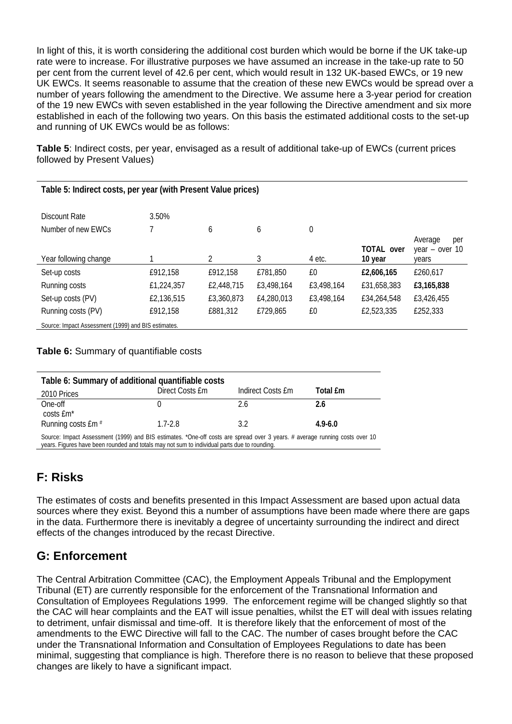In light of this, it is worth considering the additional cost burden which would be borne if the UK take-up rate were to increase. For illustrative purposes we have assumed an increase in the take-up rate to 50 per cent from the current level of 42.6 per cent, which would result in 132 UK-based EWCs, or 19 new UK EWCs. It seems reasonable to assume that the creation of these new EWCs would be spread over a number of years following the amendment to the Directive. We assume here a 3-year period for creation of the 19 new EWCs with seven established in the year following the Directive amendment and six more established in each of the following two years. On this basis the estimated additional costs to the set-up and running of UK EWCs would be as follows:

**Table 5**: Indirect costs, per year, envisaged as a result of additional take-up of EWCs (current prices followed by Present Values)

| Table 5: Indirect costs, per year (with Present Value prices) |            |            |            |             |                              |                                             |  |
|---------------------------------------------------------------|------------|------------|------------|-------------|------------------------------|---------------------------------------------|--|
| Discount Rate                                                 | 3.50%      |            |            |             |                              |                                             |  |
| Number of new EWCs                                            |            | 6          | 6          | $\mathbf 0$ |                              |                                             |  |
| Year following change                                         |            | 2          | 3          | 4 etc.      | <b>TOTAL over</b><br>10 year | Average<br>per<br>year $-$ over 10<br>vears |  |
| Set-up costs                                                  | £912,158   | £912.158   | £781,850   | £0          | £2,606,165                   | £260,617                                    |  |
| Running costs                                                 | £1,224,357 | £2,448,715 | £3,498,164 | £3,498,164  | £31,658,383                  | £3,165,838                                  |  |
| Set-up costs (PV)                                             | £2,136,515 | £3,360,873 | £4,280,013 | £3,498,164  | £34,264,548                  | £3,426,455                                  |  |
| Running costs (PV)                                            | £912,158   | £881,312   | £729,865   | £0          | £2,523,335                   | £252,333                                    |  |
| Source: Impact Assessment (1999) and BIS estimates.           |            |            |            |             |                              |                                             |  |

**Table 6:** Summary of quantifiable costs

| Table 6: Summary of additional quantifiable costs                                                                                                                                                                           |                 |                   |             |  |  |
|-----------------------------------------------------------------------------------------------------------------------------------------------------------------------------------------------------------------------------|-----------------|-------------------|-------------|--|--|
| 2010 Prices                                                                                                                                                                                                                 | Direct Costs Em | Indirect Costs Em | Total £m    |  |  |
| One-off                                                                                                                                                                                                                     |                 | 2.6               | 2.6         |  |  |
| costs £m*                                                                                                                                                                                                                   |                 |                   |             |  |  |
| Running costs £m #                                                                                                                                                                                                          | $1.7 - 2.8$     | 3.2               | $4.9 - 6.0$ |  |  |
| Source: Impact Assessment (1999) and BIS estimates. *One-off costs are spread over 3 years. # average running costs over 10<br>years. Figures have been rounded and totals may not sum to individual parts due to rounding. |                 |                   |             |  |  |

# **F: Risks**

The estimates of costs and benefits presented in this Impact Assessment are based upon actual data sources where they exist. Beyond this a number of assumptions have been made where there are gaps in the data. Furthermore there is inevitably a degree of uncertainty surrounding the indirect and direct effects of the changes introduced by the recast Directive.

# **G: Enforcement**

The Central Arbitration Committee (CAC), the Employment Appeals Tribunal and the Emplopyment Tribunal (ET) are currently responsible for the enforcement of the Transnational Information and Consultation of Employees Regulations 1999. The enforcement regime will be changed slightly so that the CAC will hear complaints and the EAT will issue penalties, whilst the ET will deal with issues relating to detriment, unfair dismissal and time-off. It is therefore likely that the enforcement of most of the amendments to the EWC Directive will fall to the CAC. The number of cases brought before the CAC under the Transnational Information and Consultation of Employees Regulations to date has been minimal, suggesting that compliance is high. Therefore there is no reason to believe that these proposed changes are likely to have a significant impact.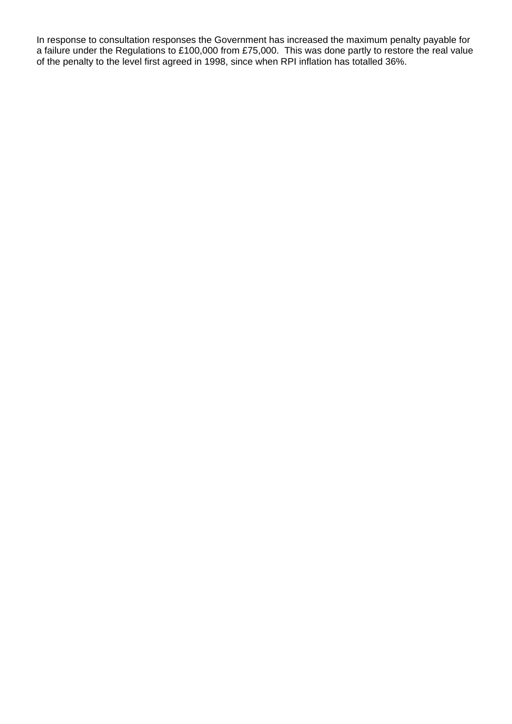In response to consultation responses the Government has increased the maximum penalty payable for a failure under the Regulations to £100,000 from £75,000. This was done partly to restore the real value of the penalty to the level first agreed in 1998, since when RPI inflation has totalled 36%.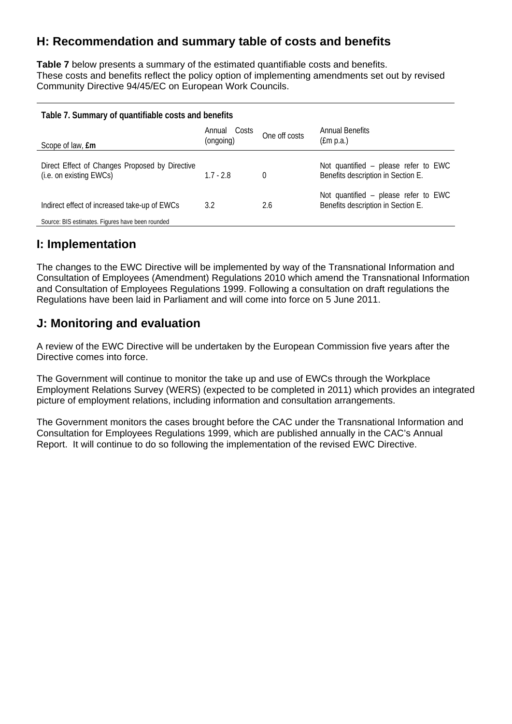# **H: Recommendation and summary table of costs and benefits**

**Table 7** below presents a summary of the estimated quantifiable costs and benefits. These costs and benefits reflect the policy option of implementing amendments set out by revised Community Directive 94/45/EC on European Work Councils.

| Table 7. Summary of quantifiable costs and benefits                       |                              |               |                                                                            |  |  |
|---------------------------------------------------------------------------|------------------------------|---------------|----------------------------------------------------------------------------|--|--|
| Scope of law, <b>£m</b>                                                   | Costs<br>Annual<br>(ongoing) | One off costs | Annual Benefits<br>(fm p.a.)                                               |  |  |
| Direct Effect of Changes Proposed by Directive<br>(i.e. on existing EWCs) | $1.7 - 2.8$                  | 0             | Not quantified – please refer to EWC<br>Benefits description in Section E. |  |  |
| Indirect effect of increased take-up of EWCs                              | 3.2                          | 2.6           | Not quantified – please refer to EWC<br>Benefits description in Section E. |  |  |
| Source: BIS estimates. Figures have been rounded                          |                              |               |                                                                            |  |  |

# **I: Implementation**

The changes to the EWC Directive will be implemented by way of the Transnational Information and Consultation of Employees (Amendment) Regulations 2010 which amend the Transnational Information and Consultation of Employees Regulations 1999. Following a consultation on draft regulations the Regulations have been laid in Parliament and will come into force on 5 June 2011.

# **J: Monitoring and evaluation**

A review of the EWC Directive will be undertaken by the European Commission five years after the Directive comes into force.

The Government will continue to monitor the take up and use of EWCs through the Workplace Employment Relations Survey (WERS) (expected to be completed in 2011) which provides an integrated picture of employment relations, including information and consultation arrangements.

The Government monitors the cases brought before the CAC under the Transnational Information and Consultation for Employees Regulations 1999, which are published annually in the CAC's Annual Report. It will continue to do so following the implementation of the revised EWC Directive.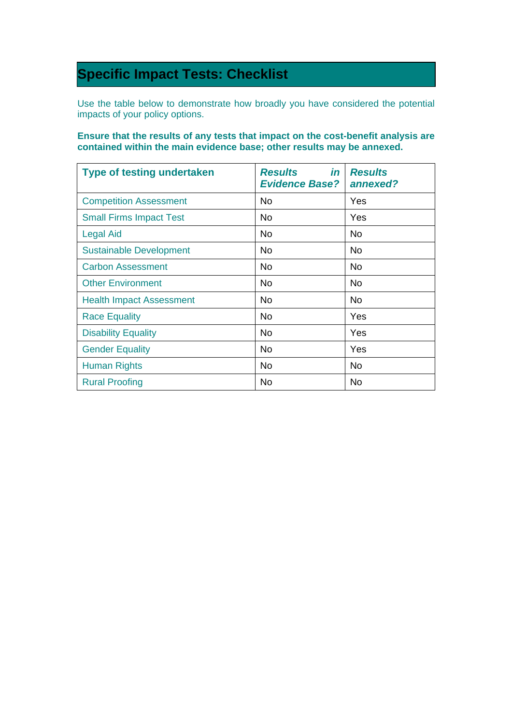# **Specific Impact Tests: Checklist**

Use the table below to demonstrate how broadly you have considered the potential impacts of your policy options.

#### **Ensure that the results of any tests that impact on the cost-benefit analysis are contained within the main evidence base; other results may be annexed.**

| <b>Type of testing undertaken</b> | in<br><b>Results</b><br><b>Evidence Base?</b> | <b>Results</b><br>annexed? |
|-----------------------------------|-----------------------------------------------|----------------------------|
| <b>Competition Assessment</b>     | No.                                           | Yes                        |
| <b>Small Firms Impact Test</b>    | No.                                           | Yes                        |
| <b>Legal Aid</b>                  | No.                                           | No                         |
| <b>Sustainable Development</b>    | No.                                           | No                         |
| <b>Carbon Assessment</b>          | No.                                           | No.                        |
| <b>Other Environment</b>          | No.                                           | No.                        |
| <b>Health Impact Assessment</b>   | <b>No</b>                                     | <b>No</b>                  |
| <b>Race Equality</b>              | No.                                           | Yes                        |
| <b>Disability Equality</b>        | No.                                           | Yes                        |
| <b>Gender Equality</b>            | <b>No</b>                                     | Yes                        |
| Human Rights                      | No.                                           | No                         |
| <b>Rural Proofing</b>             | No.                                           | No                         |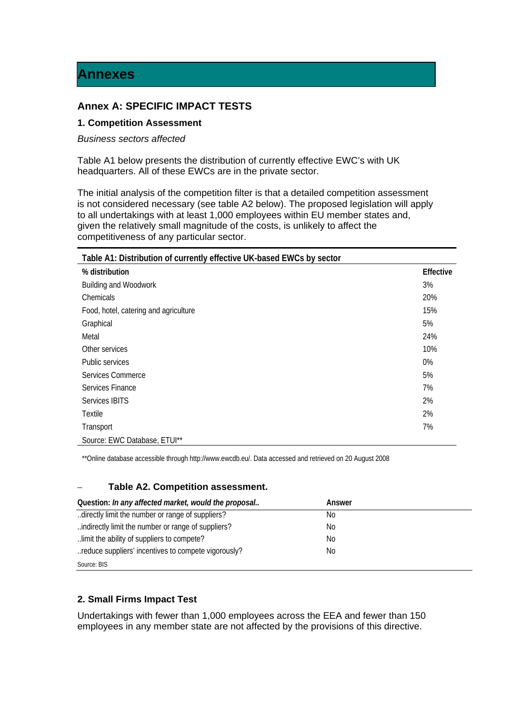### **Annex A: SPECIFIC IMPACT TESTS**

#### **1. Competition Assessment**

#### *Business sectors affected*

Table A1 below presents the distribution of currently effective EWC's with UK headquarters. All of these EWCs are in the private sector.

The initial analysis of the competition filter is that a detailed competition assessment is not considered necessary (see table A2 below). The proposed legislation will apply to all undertakings with at least 1,000 employees within EU member states and, given the relatively small magnitude of the costs, is unlikely to affect the competitiveness of any particular sector.

| Table A1: Distribution of currently effective UK-based EWCs by sector |                  |
|-----------------------------------------------------------------------|------------------|
| % distribution                                                        | <b>Effective</b> |
| <b>Building and Woodwork</b>                                          | 3%               |
| Chemicals                                                             | 20%              |
| Food, hotel, catering and agriculture                                 | 15%              |
| Graphical                                                             | 5%               |
| Metal                                                                 | 24%              |
| Other services                                                        | 10%              |
| Public services                                                       | 0%               |
| Services Commerce                                                     | 5%               |
| Services Finance                                                      | 7%               |
| Services IBITS                                                        | 2%               |
| Textile                                                               | 2%               |
| Transport                                                             | 7%               |
| Source: EWC Database, ETUI**                                          |                  |

\*\*Online database accessible through http://www.ewcdb.eu/. Data accessed and retrieved on 20 August 2008

#### – **Table A2. Competition assessment.**

| Question: In any affected market, would the proposal | Answer |
|------------------------------------------------------|--------|
| directly limit the number or range of suppliers?     | No.    |
| indirectly limit the number or range of suppliers?   | No.    |
| limit the ability of suppliers to compete?           | No     |
| reduce suppliers' incentives to compete vigorously?  | No.    |
| Source: BIS                                          |        |

#### **2. Small Firms Impact Test**

Undertakings with fewer than 1,000 employees across the EEA and fewer than 150 employees in any member state are not affected by the provisions of this directive.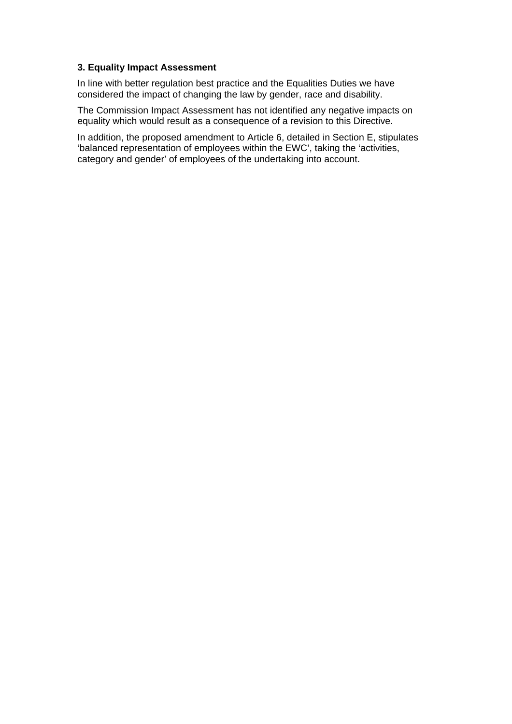#### **3. Equality Impact Assessment**

In line with better regulation best practice and the Equalities Duties we have considered the impact of changing the law by gender, race and disability.

The Commission Impact Assessment has not identified any negative impacts on equality which would result as a consequence of a revision to this Directive.

In addition, the proposed amendment to Article 6, detailed in Section E, stipulates 'balanced representation of employees within the EWC', taking the 'activities, category and gender' of employees of the undertaking into account.